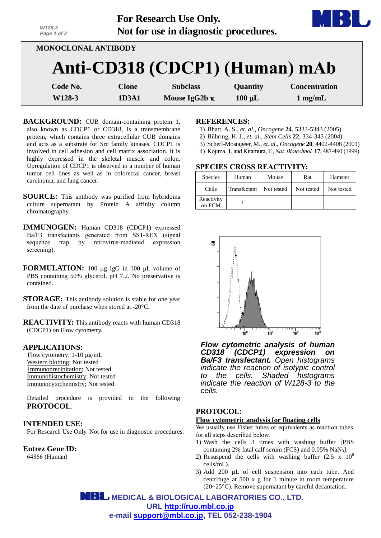| W128-3<br>Page 1 of 2      |              | For Research Use Only.<br>Not for use in diagnostic procedures. |             |                      |  |
|----------------------------|--------------|-----------------------------------------------------------------|-------------|----------------------|--|
| <b>MONOCLONAL ANTIBODY</b> |              |                                                                 |             |                      |  |
|                            |              | Anti-CD318 (CDCP1) (Human) mAb                                  |             |                      |  |
| Code No.                   | <b>Clone</b> | <b>Subclass</b>                                                 | Quantity    | <b>Concentration</b> |  |
| W128-3                     | 1D3A1        | Mouse IgG2b $\kappa$                                            | $100 \mu L$ | $1$ mg/mL            |  |

- **BACKGROUND:** CUB domain-containing protein 1, also known as CDCP1 or CD318, is a transmembrane protein, which contains three extracellular CUB domains and acts as a substrate for Src family kinases. CDCP1 is involved in cell adhesion and cell matrix association. It is highly expressed in the skeletal muscle and colon. Upregulation of CDCP1 is observed in a number of human tumor cell lines as well as in colorectal cancer, breast carcinoma, and lung cancer.
- **SOURCE:** This antibody was purified from hybridoma culture supernatant by Protein A affinity column chromatography.
- **IMMUNOGEN:** Human CD318 (CDCP1) expressed Ba/F3 transfectants generated from SST-REX (signal sequence trap by retrovirus-mediated expression screening).
- **FORMULATION:** 100 µg IgG in 100 µL volume of PBS containing 50% glycerol, pH 7.2. No preservative is contained.
- **STORAGE:** This antibody solution is stable for one year from the date of purchase when stored at -20°C.
- **REACTIVITY:** This antibody reacts with human CD318 (CDCP1) on Flow cytometry.

## **APPLICATIONS:**

Flow cytometry;  $1-10 \mu g/mL$ Western blotting; Not tested Immunoprecipitation; Not tested Immunohistochemistry; Not tested Immunocytochemistry; Not tested

Detailed procedure is provided in the following **PROTOCOL**.

#### **INTENDED USE:**

For Research Use Only. Not for use in diagnostic procedures.

**Entrez Gene ID:**

64866 (Human)

#### **REFERENCES:**

- 1) Bhatt, A. S., *et*. *al*., *Oncogene* **24**, 5333-5343 (2005)
- 2) [Bühring](http://www.ncbi.nlm.nih.gov/pubmed?term=B%C3%BChring%20HJ%5BAuthor%5D&cauthor=true&cauthor_uid=15153610), H. J., *et*. *al*., *Stem Cells* **22**, 334-343 (2004)
- 3) Scherl-Mostageer, M., *et*. *al*., *Oncogene* **20**, 4402-4408 (2001)
- 4) [Kojima,](http://www.ncbi.nlm.nih.gov/pubmed?term=Kojima%20T%5BAuthor%5D&cauthor=true&cauthor_uid=10331810) T. an[d Kitamura,T.,](http://www.ncbi.nlm.nih.gov/pubmed?term=Kitamura%20T%5BAuthor%5D&cauthor=true&cauthor_uid=10331810) *Nat. Biotechnol.* **17**, 487-490 (1999)

## **SPECIES CROSS REACTIVITY:**

| <b>Species</b>       | Human        | Mouse      | Rat        | Hamster    |
|----------------------|--------------|------------|------------|------------|
| Cells                | Transfectant | Not tested | Not tested | Not tested |
| Reactivity<br>on FCM |              |            |            |            |



*Flow cytometric analysis of human CD318 (CDCP1) expression on Ba/F3 transfectant. Open histograms indicate the reaction of isotypic control to the cells. Shaded histograms indicate the reaction of W128-3 to the cells.*

## **PROTOCOL:**

#### **Flow cytometric analysis for floating cells**

We usually use Fisher tubes or equivalents as reaction tubes for all steps described below.

- 1) Wash the cells 3 times with washing buffer [PBS containing 2% fatal calf serum (FCS) and 0.05% NaN3].
- 2) Resuspend the cells with washing buffer  $(2.5 \times 10^6$ cells/mL).
- 3) Add 200  $\mu$ L of cell suspension into each tube. And centrifuge at 500 x g for 1 minute at room temperature (20~25°C). Remove supernatant by careful decantation.

 **MEDICAL & BIOLOGICAL LABORATORIES CO., LTD. URL [http://ruo.mbl.co.jp](http://ruo.mbl.co.jp/) e-mail [support@mbl.co.jp,](mailto:support@mbl.co.jp) TEL 052-238-1904**